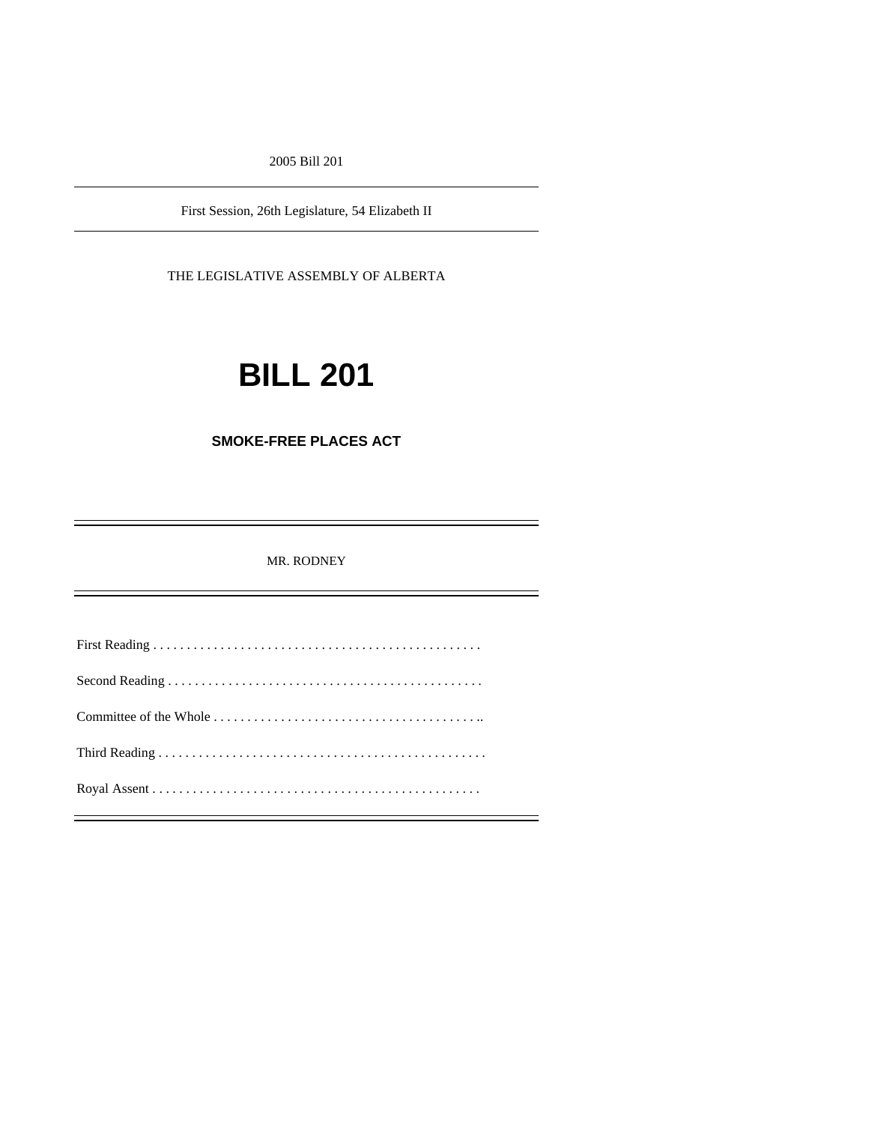2005 Bill 201

First Session, 26th Legislature, 54 Elizabeth II

THE LEGISLATIVE ASSEMBLY OF ALBERTA

# **BILL 201**

# **SMOKE-FREE PLACES ACT**

MR. RODNEY

First Reading . . . . . . . . . . . . . . . . . . . . . . . . . . . . . . . . . . . . . . . . . . . . . . . . . Second Reading . . . . . . . . . . . . . . . . . . . . . . . . . . . . . . . . . . . . . . . . . . . . . . . Committee of the Whole . . . . . . . . . . . . . . . . . . . . . . . . . . . . . . . . . . . . . . . .. Third Reading . . . . . . . . . . . . . . . . . . . . . . . . . . . . . . . . . . . . . . . . . . . . . . . . . Royal Assent . . . . . . . . . . . . . . . . . . . . . . . . . . . . . . . . . . . . . . . . . . . . . . . . .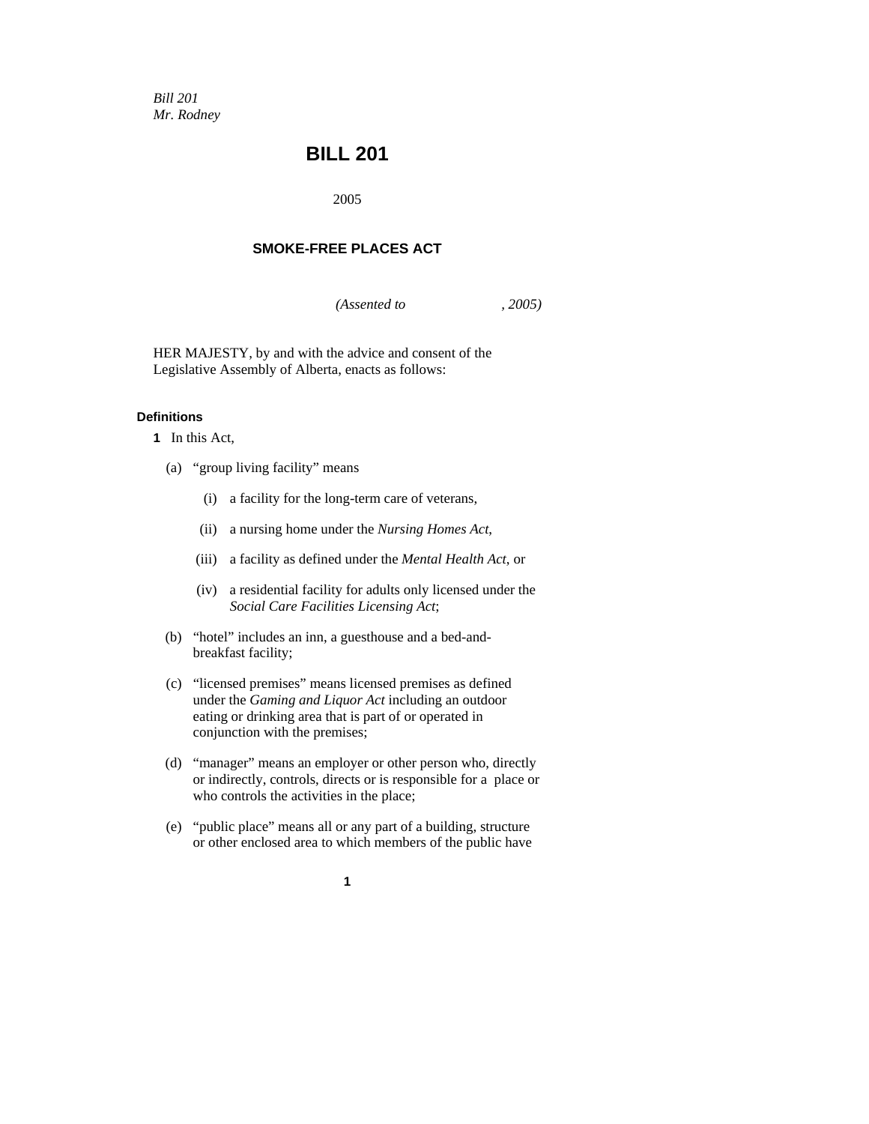*Bill 201 Mr. Rodney*

# **BILL 201**

2005

# **SMOKE-FREE PLACES ACT**

*(Assented to , 2005)* 

HER MAJESTY, by and with the advice and consent of the Legislative Assembly of Alberta, enacts as follows:

# **Definitions**

- **1** In this Act,
	- (a) "group living facility" means
		- (i) a facility for the long-term care of veterans,
		- (ii) a nursing home under the *Nursing Homes Act*,
		- (iii) a facility as defined under the *Mental Health Act*, or
		- (iv) a residential facility for adults only licensed under the *Social Care Facilities Licensing Act*;
	- (b) "hotel" includes an inn, a guesthouse and a bed-andbreakfast facility;
	- (c) "licensed premises" means licensed premises as defined under the *Gaming and Liquor Act* including an outdoor eating or drinking area that is part of or operated in conjunction with the premises;
	- (d) "manager" means an employer or other person who, directly or indirectly, controls, directs or is responsible for a place or who controls the activities in the place;
	- (e) "public place" means all or any part of a building, structure or other enclosed area to which members of the public have
		- **1**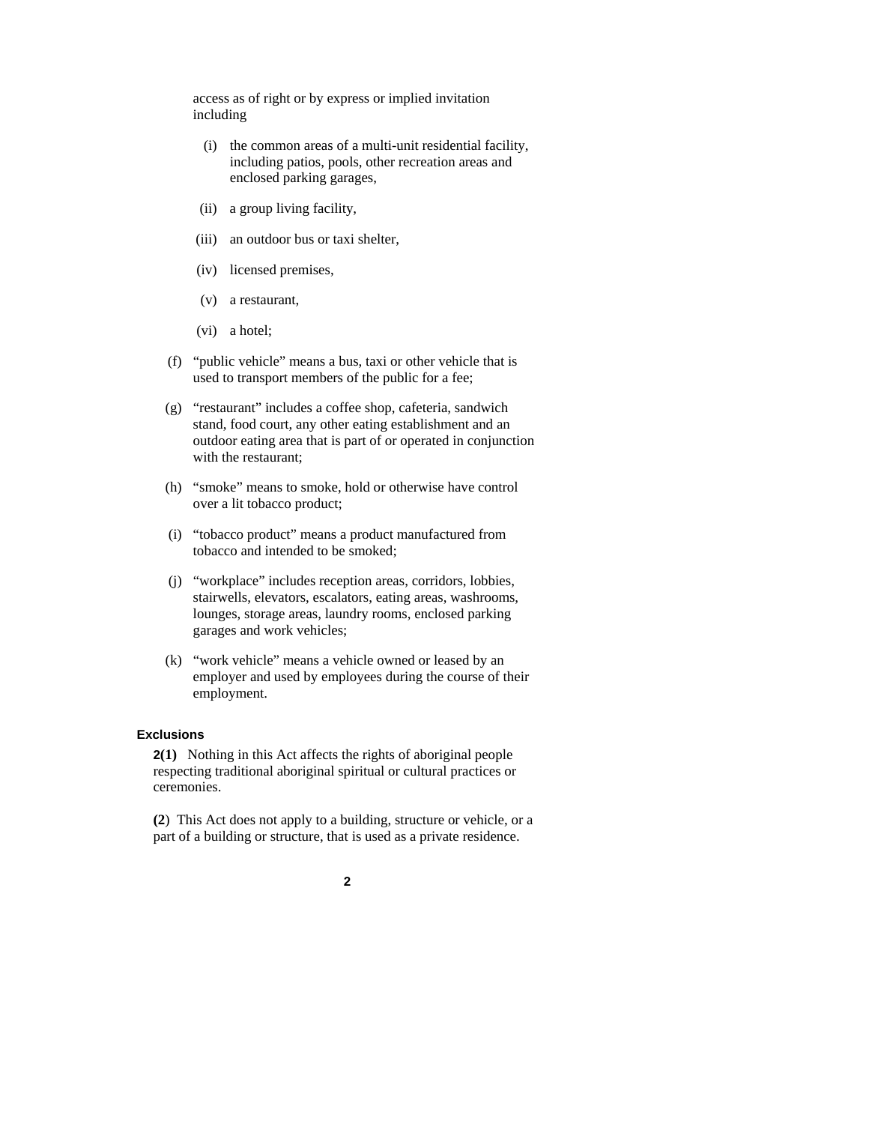access as of right or by express or implied invitation including

- (i) the common areas of a multi-unit residential facility, including patios, pools, other recreation areas and enclosed parking garages,
- (ii) a group living facility,
- (iii) an outdoor bus or taxi shelter,
- (iv) licensed premises,
- (v) a restaurant,
- (vi) a hotel;
- (f) "public vehicle" means a bus, taxi or other vehicle that is used to transport members of the public for a fee;
- (g) "restaurant" includes a coffee shop, cafeteria, sandwich stand, food court, any other eating establishment and an outdoor eating area that is part of or operated in conjunction with the restaurant;
- (h) "smoke" means to smoke, hold or otherwise have control over a lit tobacco product;
- (i) "tobacco product" means a product manufactured from tobacco and intended to be smoked;
- (j) "workplace" includes reception areas, corridors, lobbies, stairwells, elevators, escalators, eating areas, washrooms, lounges, storage areas, laundry rooms, enclosed parking garages and work vehicles;
- (k) "work vehicle" means a vehicle owned or leased by an employer and used by employees during the course of their employment.

#### **Exclusions**

**2(1)** Nothing in this Act affects the rights of aboriginal people respecting traditional aboriginal spiritual or cultural practices or ceremonies.

**(2**) This Act does not apply to a building, structure or vehicle, or a part of a building or structure, that is used as a private residence.

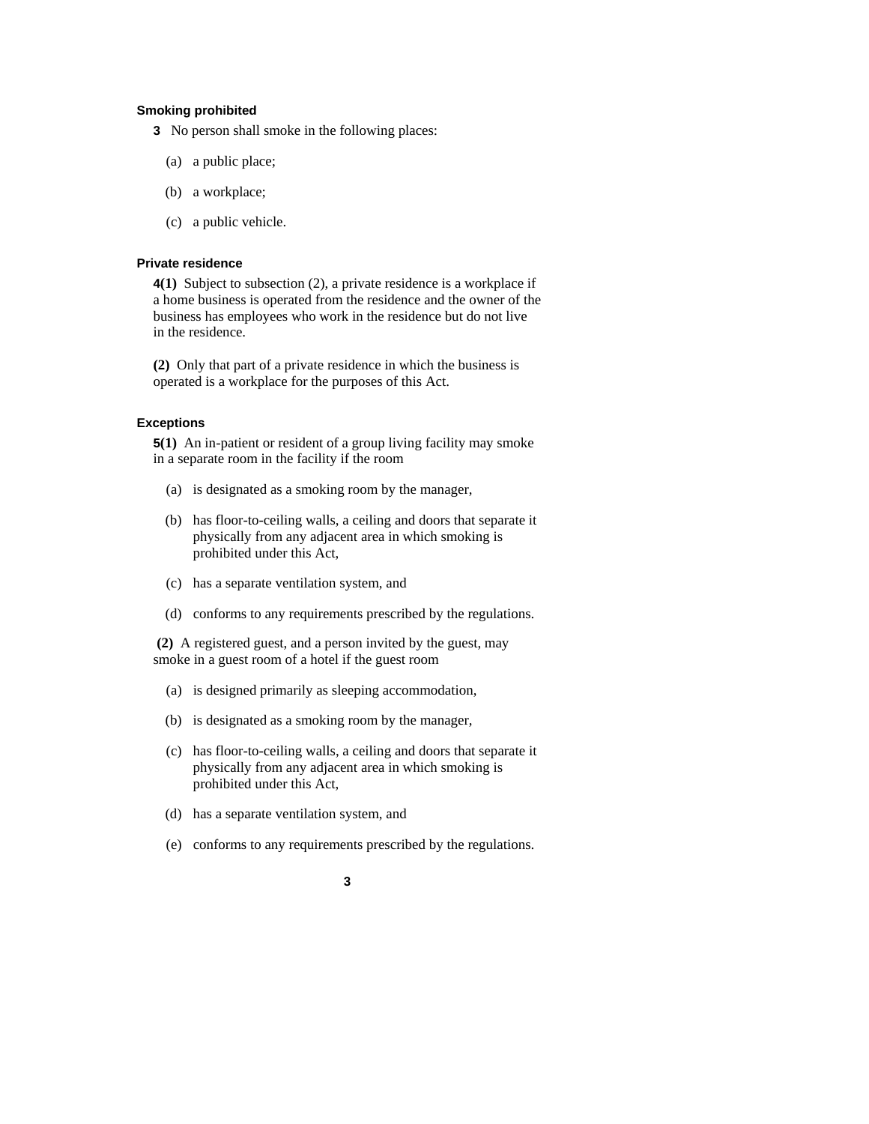# **Smoking prohibited**

- **3** No person shall smoke in the following places:
	- (a) a public place;
	- (b) a workplace;
	- (c) a public vehicle.

#### **Private residence**

**4(1)** Subject to subsection (2), a private residence is a workplace if a home business is operated from the residence and the owner of the business has employees who work in the residence but do not live in the residence.

**(2)** Only that part of a private residence in which the business is operated is a workplace for the purposes of this Act.

#### **Exceptions**

**5(1)** An in-patient or resident of a group living facility may smoke in a separate room in the facility if the room

- (a) is designated as a smoking room by the manager,
- (b) has floor-to-ceiling walls, a ceiling and doors that separate it physically from any adjacent area in which smoking is prohibited under this Act,
- (c) has a separate ventilation system, and
- (d) conforms to any requirements prescribed by the regulations.

 **(2)** A registered guest, and a person invited by the guest, may smoke in a guest room of a hotel if the guest room

- (a) is designed primarily as sleeping accommodation,
- (b) is designated as a smoking room by the manager,
- (c) has floor-to-ceiling walls, a ceiling and doors that separate it physically from any adjacent area in which smoking is prohibited under this Act,
- (d) has a separate ventilation system, and
- (e) conforms to any requirements prescribed by the regulations.
	- **3**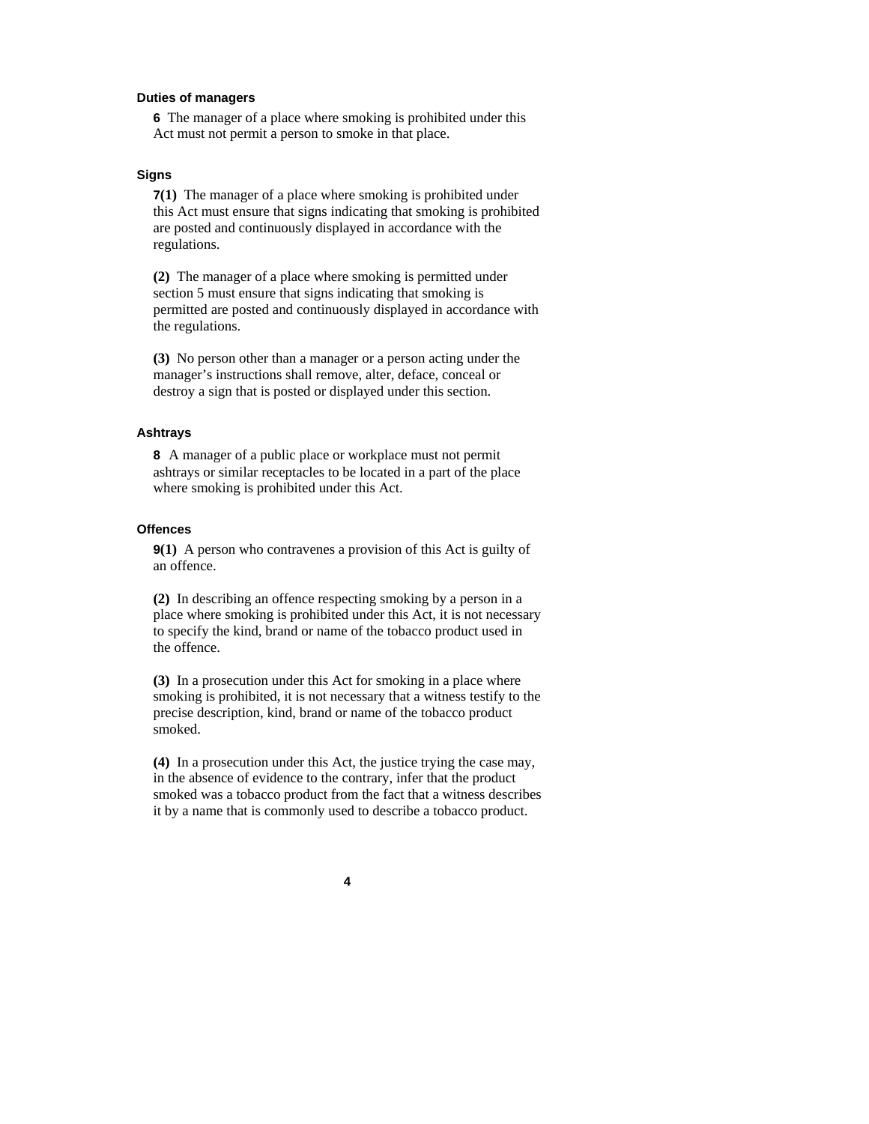#### **Duties of managers**

**6** The manager of a place where smoking is prohibited under this Act must not permit a person to smoke in that place.

#### **Signs**

**7(1)** The manager of a place where smoking is prohibited under this Act must ensure that signs indicating that smoking is prohibited are posted and continuously displayed in accordance with the regulations.

**(2)** The manager of a place where smoking is permitted under section 5 must ensure that signs indicating that smoking is permitted are posted and continuously displayed in accordance with the regulations.

**(3)** No person other than a manager or a person acting under the manager's instructions shall remove, alter, deface, conceal or destroy a sign that is posted or displayed under this section.

#### **Ashtrays**

**8** A manager of a public place or workplace must not permit ashtrays or similar receptacles to be located in a part of the place where smoking is prohibited under this Act.

#### **Offences**

**9(1)** A person who contravenes a provision of this Act is guilty of an offence.

**(2)** In describing an offence respecting smoking by a person in a place where smoking is prohibited under this Act, it is not necessary to specify the kind, brand or name of the tobacco product used in the offence.

**(3)** In a prosecution under this Act for smoking in a place where smoking is prohibited, it is not necessary that a witness testify to the precise description, kind, brand or name of the tobacco product smoked.

**(4)** In a prosecution under this Act, the justice trying the case may, in the absence of evidence to the contrary, infer that the product smoked was a tobacco product from the fact that a witness describes it by a name that is commonly used to describe a tobacco product.